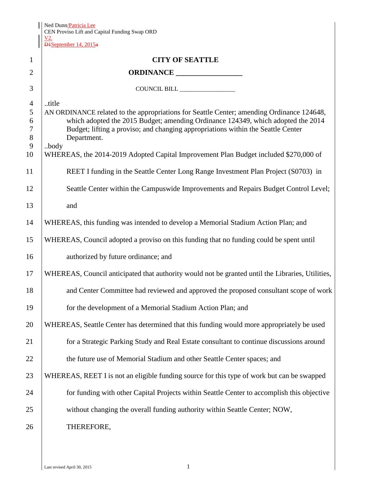| Ned Dunn/Patricia Lee<br>  CEN Proviso Lift and Capital Funding Swap ORD<br>  <u>V2.</u> |
|------------------------------------------------------------------------------------------|
|                                                                                          |
|                                                                                          |

D1September 14, 2015a

| $\mathbf{1}$                                       | <b>CITY OF SEATTLE</b>                                                                                                                                                                                                                                                                                                                                                                    |
|----------------------------------------------------|-------------------------------------------------------------------------------------------------------------------------------------------------------------------------------------------------------------------------------------------------------------------------------------------------------------------------------------------------------------------------------------------|
| $\overline{2}$                                     | ORDINANCE                                                                                                                                                                                                                                                                                                                                                                                 |
| 3                                                  |                                                                                                                                                                                                                                                                                                                                                                                           |
| $\overline{4}$<br>5<br>6<br>$\tau$<br>8<br>9<br>10 | title<br>AN ORDINANCE related to the appropriations for Seattle Center; amending Ordinance 124648,<br>which adopted the 2015 Budget; amending Ordinance 124349, which adopted the 2014<br>Budget; lifting a proviso; and changing appropriations within the Seattle Center<br>Department.<br>body<br>WHEREAS, the 2014-2019 Adopted Capital Improvement Plan Budget included \$270,000 of |
| 11                                                 | REET I funding in the Seattle Center Long Range Investment Plan Project (S0703) in                                                                                                                                                                                                                                                                                                        |
| 12                                                 | Seattle Center within the Campuswide Improvements and Repairs Budget Control Level;                                                                                                                                                                                                                                                                                                       |
| 13                                                 | and                                                                                                                                                                                                                                                                                                                                                                                       |
| 14                                                 | WHEREAS, this funding was intended to develop a Memorial Stadium Action Plan; and                                                                                                                                                                                                                                                                                                         |
| 15                                                 | WHEREAS, Council adopted a proviso on this funding that no funding could be spent until                                                                                                                                                                                                                                                                                                   |
| 16                                                 | authorized by future ordinance; and                                                                                                                                                                                                                                                                                                                                                       |
| 17                                                 | WHEREAS, Council anticipated that authority would not be granted until the Libraries, Utilities,                                                                                                                                                                                                                                                                                          |
| 18                                                 | and Center Committee had reviewed and approved the proposed consultant scope of work                                                                                                                                                                                                                                                                                                      |
| 19                                                 | for the development of a Memorial Stadium Action Plan; and                                                                                                                                                                                                                                                                                                                                |
| 20                                                 | WHEREAS, Seattle Center has determined that this funding would more appropriately be used                                                                                                                                                                                                                                                                                                 |
| 21                                                 | for a Strategic Parking Study and Real Estate consultant to continue discussions around                                                                                                                                                                                                                                                                                                   |
| 22                                                 | the future use of Memorial Stadium and other Seattle Center spaces; and                                                                                                                                                                                                                                                                                                                   |
| 23                                                 | WHEREAS, REET I is not an eligible funding source for this type of work but can be swapped                                                                                                                                                                                                                                                                                                |
| 24                                                 | for funding with other Capital Projects within Seattle Center to accomplish this objective                                                                                                                                                                                                                                                                                                |
| 25                                                 | without changing the overall funding authority within Seattle Center; NOW,                                                                                                                                                                                                                                                                                                                |
| 26                                                 | THEREFORE,                                                                                                                                                                                                                                                                                                                                                                                |
|                                                    |                                                                                                                                                                                                                                                                                                                                                                                           |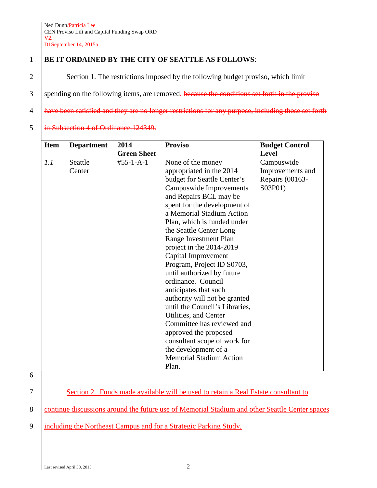## 1 **BE IT ORDAINED BY THE CITY OF SEATTLE AS FOLLOWS**:

2 Section 1. The restrictions imposed by the following budget proviso, which limit

 $3$  | spending on the following items, are removed. because the conditions set forth in the proviso

4 | have been satisfied and they are no longer restrictions for any purpose, including those set forth

## 5  $\left| \right|$  in Subsection 4 of Ordinance 124349.

| <b>Item</b> | <b>Department</b> | 2014               | <b>Proviso</b>                                                                                                                                                                                                                                                                                                                                                | <b>Budget Control</b>                                        |
|-------------|-------------------|--------------------|---------------------------------------------------------------------------------------------------------------------------------------------------------------------------------------------------------------------------------------------------------------------------------------------------------------------------------------------------------------|--------------------------------------------------------------|
|             |                   | <b>Green Sheet</b> |                                                                                                                                                                                                                                                                                                                                                               | Level                                                        |
| 1.1         | Seattle<br>Center | $#55 - 1 - A - 1$  | None of the money<br>appropriated in the 2014<br>budget for Seattle Center's<br>Campuswide Improvements<br>and Repairs BCL may be<br>spent for the development of<br>a Memorial Stadium Action<br>Plan, which is funded under<br>the Seattle Center Long<br>Range Investment Plan<br>project in the 2014-2019<br>Capital Improvement                          | Campuswide<br>Improvements and<br>Repairs (00163-<br>S03P01) |
|             |                   |                    | Program, Project ID S0703,<br>until authorized by future<br>ordinance. Council<br>anticipates that such<br>authority will not be granted<br>until the Council's Libraries,<br>Utilities, and Center<br>Committee has reviewed and<br>approved the proposed<br>consultant scope of work for<br>the development of a<br><b>Memorial Stadium Action</b><br>Plan. |                                                              |

6

7 | Section 2. Funds made available will be used to retain a Real Estate consultant to

8 **Continue discussions around the future use of Memorial Stadium and other Seattle Center spaces** 

9 | including the Northeast Campus and for a Strategic Parking Study.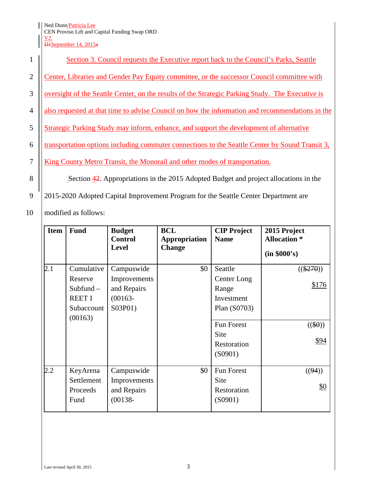Ned Dunn/Patricia Lee

## CEN Proviso Lift and Capital Funding Swap ORD V2.

D<sub>1</sub>September 14, 2015<sup>a</sup>

|                | Section 3. Council requests the Executive report back to the Council's Parks, Seattle             |
|----------------|---------------------------------------------------------------------------------------------------|
| $\overline{2}$ | Center, Libraries and Gender Pay Equity committee, or the successor Council committee with        |
| 3              | oversight of the Seattle Center, on the results of the Strategic Parking Study. The Executive is  |
| 4              | also requested at that time to advise Council on how the information and recommendations in the   |
| 5              | Strategic Parking Study may inform, enhance, and support the development of alternative           |
| 6              | transportation options including commuter connections to the Seattle Center by Sound Transit 3.   |
|                | King County Metro Transit, the Monorail and other modes of transportation.                        |
| 8              | Section $\frac{42}{3}$ . Appropriations in the 2015 Adopted Budget and project allocations in the |

9 2015-2020 Adopted Capital Improvement Program for the Seattle Center Department are

10 | modified as follows:

| <b>Item</b> | <b>Fund</b>                                                                    | <b>Budget</b><br><b>Control</b><br><b>Level</b>                    | <b>BCL</b><br>Appropriation<br><b>Change</b> | <b>CIP Project</b><br><b>Name</b>                                                                                    | 2015 Project<br><b>Allocation</b> *<br>(in \$000's) |
|-------------|--------------------------------------------------------------------------------|--------------------------------------------------------------------|----------------------------------------------|----------------------------------------------------------------------------------------------------------------------|-----------------------------------------------------|
| 2.1         | Cumulative<br>Reserve<br>Subfund $-$<br><b>REET I</b><br>Subaccount<br>(00163) | Campuswide<br>Improvements<br>and Repairs<br>$(00163 -$<br>S03P01) | \$0                                          | Seattle<br>Center Long<br>Range<br>Investment<br>Plan (S0703)<br><b>Fun Forest</b><br>Site<br>Restoration<br>(S0901) | $((\$270))$<br>\$176<br>$((\$0))$<br>\$94           |
| 2.2         | KeyArena<br>Settlement<br>Proceeds<br>Fund                                     | Campuswide<br>Improvements<br>and Repairs<br>$(00138 -$            | \$0                                          | Fun Forest<br>Site<br>Restoration<br>(S0901)                                                                         | ((94))<br>\$0                                       |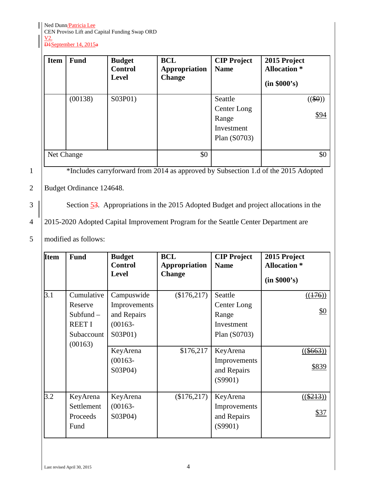Ned Dunn/Patricia Lee

CEN Proviso Lift and Capital Funding Swap ORD V2.

D1September 14, 2015a

| <b>Item</b> | <b>Fund</b> | <b>Budget</b><br><b>Control</b><br><b>Level</b> | BCL<br><b>Appropriation</b><br><b>Change</b> | <b>CIP Project</b><br><b>Name</b>                             | 2015 Project<br><b>Allocation</b> *<br>(in \$000's) |
|-------------|-------------|-------------------------------------------------|----------------------------------------------|---------------------------------------------------------------|-----------------------------------------------------|
|             | (00138)     | S03P01)                                         |                                              | Seattle<br>Center Long<br>Range<br>Investment<br>Plan (S0703) | $((\$0))$<br>\$94                                   |
| Net Change  |             |                                                 | \$0                                          |                                                               | \$0                                                 |

<sup>1</sup><br><sup>2</sup>Includes carryforward from 2014 as approved by Subsection 1.d of the 2015 Adopted

## 2 Budget Ordinance 124648.

 $3$  | Section  $\frac{53}{3}$ . Appropriations in the 2015 Adopted Budget and project allocations in the

4 2015-2020 Adopted Capital Improvement Program for the Seattle Center Department are

5 modified as follows:

| <b>Item</b> | <b>Fund</b>                                                                    | <b>Budget</b><br><b>Control</b><br><b>Level</b>                    | <b>BCL</b><br><b>Appropriation</b><br><b>Change</b> | <b>CIP Project</b><br><b>Name</b>                             | 2015 Project<br><b>Allocation</b> *<br>(in \$000's) |
|-------------|--------------------------------------------------------------------------------|--------------------------------------------------------------------|-----------------------------------------------------|---------------------------------------------------------------|-----------------------------------------------------|
| 3.1         | Cumulative<br>Reserve<br>$Subfund -$<br><b>REET I</b><br>Subaccount<br>(00163) | Campuswide<br>Improvements<br>and Repairs<br>$(00163 -$<br>S03P01) | (\$176,217)                                         | Seattle<br>Center Long<br>Range<br>Investment<br>Plan (S0703) | ((176))<br><u>\$0</u>                               |
|             |                                                                                | KeyArena<br>$(00163 -$<br>S03P04)                                  | \$176,217                                           | KeyArena<br>Improvements<br>and Repairs<br>(S9901)            | $((\$663)$<br>\$839                                 |
| 3.2         | KeyArena<br>Settlement<br>Proceeds<br>Fund                                     | KeyArena<br>$(00163 -$<br>S03P04)                                  | \$176,217                                           | KeyArena<br>Improvements<br>and Repairs<br>(S9901)            | $((\$213)$<br>\$37                                  |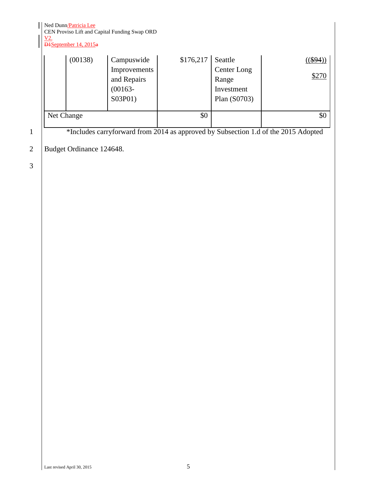Ned Dunn/Patricia Lee

CEN Proviso Lift and Capital Funding Swap ORD V2.

D<sub>1</sub>September 14, 2015<sup>a</sup>

| (00138)    | Campuswide<br>Improvements<br>and Repairs<br>$(00163 -$<br>S03P01) | $$176,217$ Seattle | Center Long<br>Range<br>Investment<br>Plan (S0703) | $($ (\$94)<br>\$270 |
|------------|--------------------------------------------------------------------|--------------------|----------------------------------------------------|---------------------|
| Net Change |                                                                    | \$0                |                                                    | \$0                 |

<sup>1</sup> \*Includes carryforward from 2014 as approved by Subsection 1.d of the 2015 Adopted

2 | Budget Ordinance 124648.